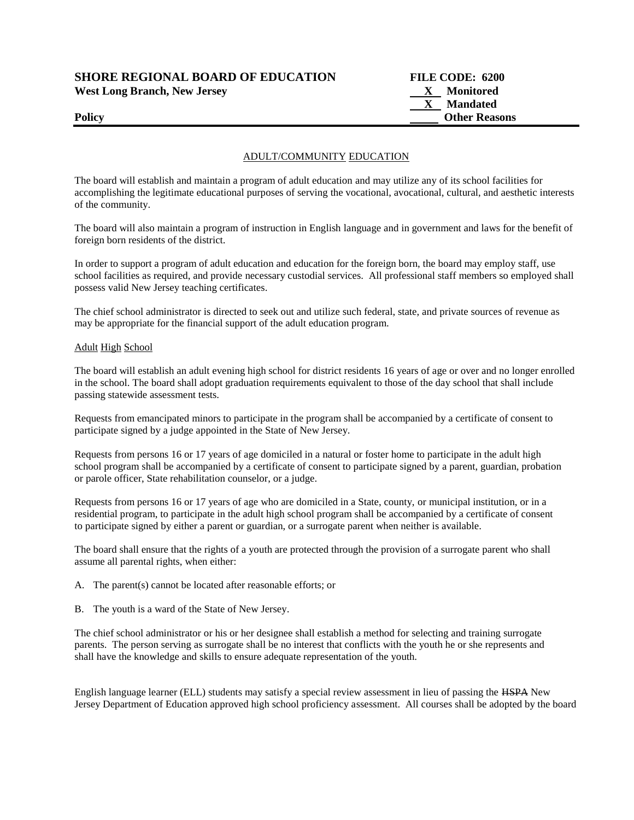# **SHORE REGIONAL BOARD OF EDUCATION FILE CODE: 6200**

West Long Branch, New Jersey **X** Monitored

 **X Mandated Policy Other Reasons** 

### ADULT/COMMUNITY EDUCATION

The board will establish and maintain a program of adult education and may utilize any of its school facilities for accomplishing the legitimate educational purposes of serving the vocational, avocational, cultural, and aesthetic interests of the community.

The board will also maintain a program of instruction in English language and in government and laws for the benefit of foreign born residents of the district.

In order to support a program of adult education and education for the foreign born, the board may employ staff, use school facilities as required, and provide necessary custodial services. All professional staff members so employed shall possess valid New Jersey teaching certificates.

The chief school administrator is directed to seek out and utilize such federal, state, and private sources of revenue as may be appropriate for the financial support of the adult education program.

#### Adult High School

The board will establish an adult evening high school for district residents 16 years of age or over and no longer enrolled in the school. The board shall adopt graduation requirements equivalent to those of the day school that shall include passing statewide assessment tests.

Requests from emancipated minors to participate in the program shall be accompanied by a certificate of consent to participate signed by a judge appointed in the State of New Jersey.

Requests from persons 16 or 17 years of age domiciled in a natural or foster home to participate in the adult high school program shall be accompanied by a certificate of consent to participate signed by a parent, guardian, probation or parole officer, State rehabilitation counselor, or a judge.

Requests from persons 16 or 17 years of age who are domiciled in a State, county, or municipal institution, or in a residential program, to participate in the adult high school program shall be accompanied by a certificate of consent to participate signed by either a parent or guardian, or a surrogate parent when neither is available.

The board shall ensure that the rights of a youth are protected through the provision of a surrogate parent who shall assume all parental rights, when either:

A. The parent(s) cannot be located after reasonable efforts; or

B. The youth is a ward of the State of New Jersey.

The chief school administrator or his or her designee shall establish a method for selecting and training surrogate parents. The person serving as surrogate shall be no interest that conflicts with the youth he or she represents and shall have the knowledge and skills to ensure adequate representation of the youth.

English language learner (ELL) students may satisfy a special review assessment in lieu of passing the HSPA New Jersey Department of Education approved high school proficiency assessment. All courses shall be adopted by the board